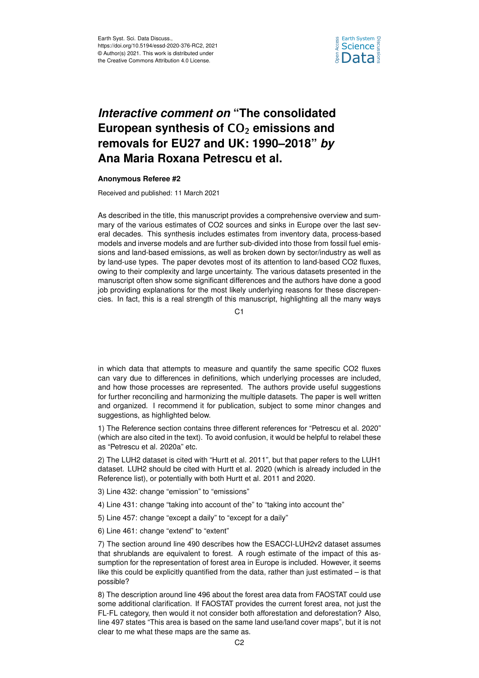

## *Interactive comment on* **"The consolidated** European synthesis of CO<sub>2</sub> emissions and **removals for EU27 and UK: 1990–2018"** *by* **Ana Maria Roxana Petrescu et al.**

## **Anonymous Referee #2**

Received and published: 11 March 2021

As described in the title, this manuscript provides a comprehensive overview and summary of the various estimates of CO2 sources and sinks in Europe over the last several decades. This synthesis includes estimates from inventory data, process-based models and inverse models and are further sub-divided into those from fossil fuel emissions and land-based emissions, as well as broken down by sector/industry as well as by land-use types. The paper devotes most of its attention to land-based CO2 fluxes, owing to their complexity and large uncertainty. The various datasets presented in the manuscript often show some significant differences and the authors have done a good job providing explanations for the most likely underlying reasons for these discrepencies. In fact, this is a real strength of this manuscript, highlighting all the many ways

 $C<sub>1</sub>$ 

in which data that attempts to measure and quantify the same specific CO2 fluxes can vary due to differences in definitions, which underlying processes are included, and how those processes are represented. The authors provide useful suggestions for further reconciling and harmonizing the multiple datasets. The paper is well written and organized. I recommend it for publication, subject to some minor changes and suggestions, as highlighted below.

1) The Reference section contains three different references for "Petrescu et al. 2020" (which are also cited in the text). To avoid confusion, it would be helpful to relabel these as "Petrescu et al. 2020a" etc.

2) The LUH2 dataset is cited with "Hurtt et al. 2011", but that paper refers to the LUH1 dataset. LUH2 should be cited with Hurtt et al. 2020 (which is already included in the Reference list), or potentially with both Hurtt et al. 2011 and 2020.

- 3) Line 432: change "emission" to "emissions"
- 4) Line 431: change "taking into account of the" to "taking into account the"
- 5) Line 457: change "except a daily" to "except for a daily"
- 6) Line 461: change "extend" to "extent"

7) The section around line 490 describes how the ESACCI-LUH2v2 dataset assumes that shrublands are equivalent to forest. A rough estimate of the impact of this assumption for the representation of forest area in Europe is included. However, it seems like this could be explicitly quantified from the data, rather than just estimated – is that possible?

8) The description around line 496 about the forest area data from FAOSTAT could use some additional clarification. If FAOSTAT provides the current forest area, not just the FL-FL category, then would it not consider both afforestation and deforestation? Also, line 497 states "This area is based on the same land use/land cover maps", but it is not clear to me what these maps are the same as.